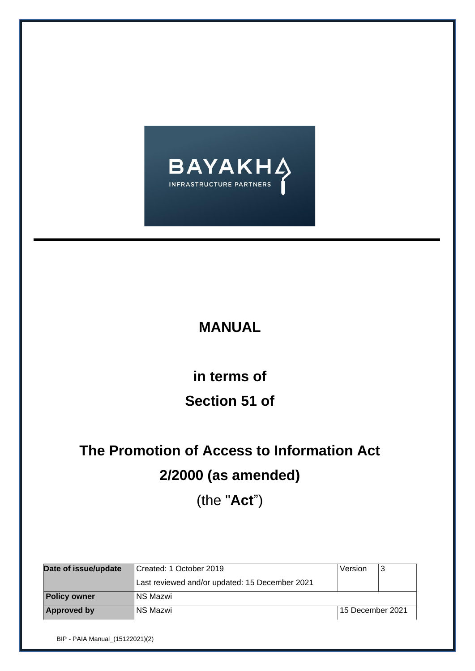

# **MANUAL**

# **in terms of Section 51 of**

# **The Promotion of Access to Information Act 2/2000 (as amended)**

(the "**Act**")

| Date of issue/update | Created: 1 October 2019                        | Version          | 3 |  |
|----------------------|------------------------------------------------|------------------|---|--|
|                      | Last reviewed and/or updated: 15 December 2021 |                  |   |  |
| <b>Policy owner</b>  | NS Mazwi                                       |                  |   |  |
| Approved by          | NS Mazwi                                       | 15 December 2021 |   |  |

BIP - PAIA Manual\_(15122021)(2)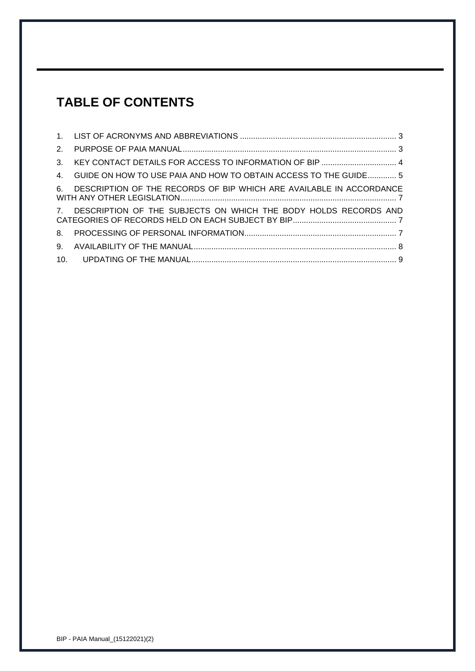# **TABLE OF CONTENTS**

| 4. GUIDE ON HOW TO USE PAIA AND HOW TO OBTAIN ACCESS TO THE GUIDE 5    |  |
|------------------------------------------------------------------------|--|
| 6. DESCRIPTION OF THE RECORDS OF BIP WHICH ARE AVAILABLE IN ACCORDANCE |  |
| 7. DESCRIPTION OF THE SUBJECTS ON WHICH THE BODY HOLDS RECORDS AND     |  |
|                                                                        |  |
|                                                                        |  |
|                                                                        |  |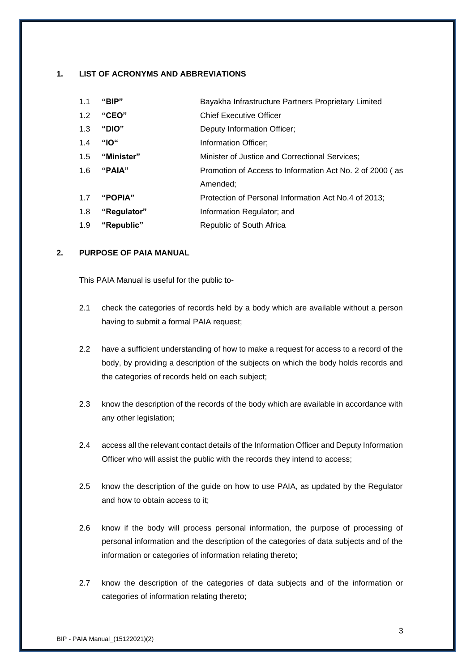#### <span id="page-2-0"></span>**1. LIST OF ACRONYMS AND ABBREVIATIONS**

| 1.1 | "BIP"       | Bayakha Infrastructure Partners Proprietary Limited      |
|-----|-------------|----------------------------------------------------------|
| 1.2 | "CEO"       | <b>Chief Executive Officer</b>                           |
| 1.3 | "DIO"       | Deputy Information Officer;                              |
| 1.4 | "IO"        | Information Officer:                                     |
| 1.5 | "Minister"  | Minister of Justice and Correctional Services;           |
| 1.6 | "PAIA"      | Promotion of Access to Information Act No. 2 of 2000 (as |
|     |             | Amended:                                                 |
| 1.7 | "POPIA"     | Protection of Personal Information Act No.4 of 2013;     |
| 1.8 | "Regulator" | Information Regulator; and                               |
| 1.9 | "Republic"  | Republic of South Africa                                 |

#### <span id="page-2-1"></span>**2. PURPOSE OF PAIA MANUAL**

This PAIA Manual is useful for the public to-

- 2.1 check the categories of records held by a body which are available without a person having to submit a formal PAIA request;
- 2.2 have a sufficient understanding of how to make a request for access to a record of the body, by providing a description of the subjects on which the body holds records and the categories of records held on each subject;
- 2.3 know the description of the records of the body which are available in accordance with any other legislation;
- 2.4 access all the relevant contact details of the Information Officer and Deputy Information Officer who will assist the public with the records they intend to access;
- 2.5 know the description of the guide on how to use PAIA, as updated by the Regulator and how to obtain access to it;
- 2.6 know if the body will process personal information, the purpose of processing of personal information and the description of the categories of data subjects and of the information or categories of information relating thereto;
- 2.7 know the description of the categories of data subjects and of the information or categories of information relating thereto;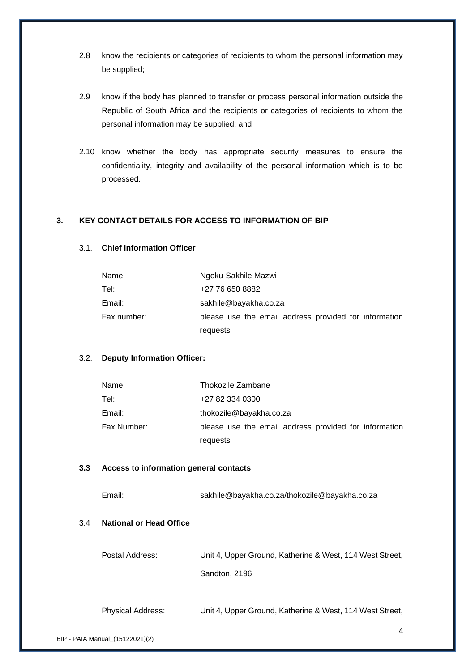- 2.8 know the recipients or categories of recipients to whom the personal information may be supplied;
- 2.9 know if the body has planned to transfer or process personal information outside the Republic of South Africa and the recipients or categories of recipients to whom the personal information may be supplied; and
- 2.10 know whether the body has appropriate security measures to ensure the confidentiality, integrity and availability of the personal information which is to be processed.

#### <span id="page-3-0"></span>**3. KEY CONTACT DETAILS FOR ACCESS TO INFORMATION OF BIP**

#### 3.1. **Chief Information Officer**

| Name:       | Ngoku-Sakhile Mazwi                                   |
|-------------|-------------------------------------------------------|
| Tel:        | +27 76 650 8882                                       |
| Email:      | sakhile@bayakha.co.za                                 |
| Fax number: | please use the email address provided for information |
|             | requests                                              |

#### 3.2. **Deputy Information Officer:**

| Name:       | Thokozile Zambane                                     |
|-------------|-------------------------------------------------------|
| Tel:        | +27 82 334 0300                                       |
| Email:      | thokozile@bayakha.co.za                               |
| Fax Number: | please use the email address provided for information |
|             | requests                                              |

#### **3.3 Access to information general contacts**

| Email: | sakhile@bayakha.co.za/thokozile@bayakha.co.za |
|--------|-----------------------------------------------|
|--------|-----------------------------------------------|

#### 3.4 **National or Head Office**

| Postal Address:          | Unit 4, Upper Ground, Katherine & West, 114 West Street, |
|--------------------------|----------------------------------------------------------|
|                          | Sandton, 2196                                            |
|                          |                                                          |
| <b>Physical Address:</b> | Unit 4, Upper Ground, Katherine & West, 114 West Street, |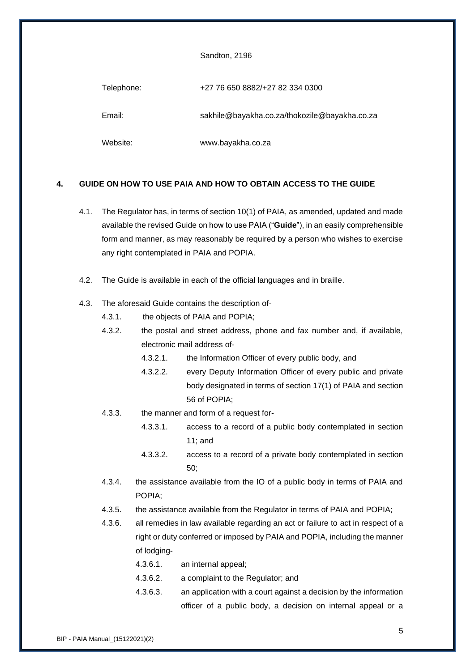#### Sandton, 2196

| Telephone: | +27 76 650 8882/+27 82 334 0300               |
|------------|-----------------------------------------------|
| Email:     | sakhile@bayakha.co.za/thokozile@bayakha.co.za |
| Website:   | www.bayakha.co.za                             |

#### <span id="page-4-0"></span>**4. GUIDE ON HOW TO USE PAIA AND HOW TO OBTAIN ACCESS TO THE GUIDE**

- 4.1. The Regulator has, in terms of section 10(1) of PAIA, as amended, updated and made available the revised Guide on how to use PAIA ("**Guide**"), in an easily comprehensible form and manner, as may reasonably be required by a person who wishes to exercise any right contemplated in PAIA and POPIA.
- 4.2. The Guide is available in each of the official languages and in braille.

#### 4.3. The aforesaid Guide contains the description of-

- 4.3.1. the objects of PAIA and POPIA;
- 4.3.2. the postal and street address, phone and fax number and, if available, electronic mail address of-
	- 4.3.2.1. the Information Officer of every public body, and
	- 4.3.2.2. every Deputy Information Officer of every public and private body designated in terms of section 17(1) of PAIA and section 56 of POPIA;
- 4.3.3. the manner and form of a request for-
	- 4.3.3.1. access to a record of a public body contemplated in section 11; and
	- 4.3.3.2. access to a record of a private body contemplated in section 50;
- 4.3.4. the assistance available from the IO of a public body in terms of PAIA and POPIA;
- 4.3.5. the assistance available from the Regulator in terms of PAIA and POPIA;
- 4.3.6. all remedies in law available regarding an act or failure to act in respect of a right or duty conferred or imposed by PAIA and POPIA, including the manner of lodging-
	- 4.3.6.1. an internal appeal;
	- 4.3.6.2. a complaint to the Regulator; and
	- 4.3.6.3. an application with a court against a decision by the information officer of a public body, a decision on internal appeal or a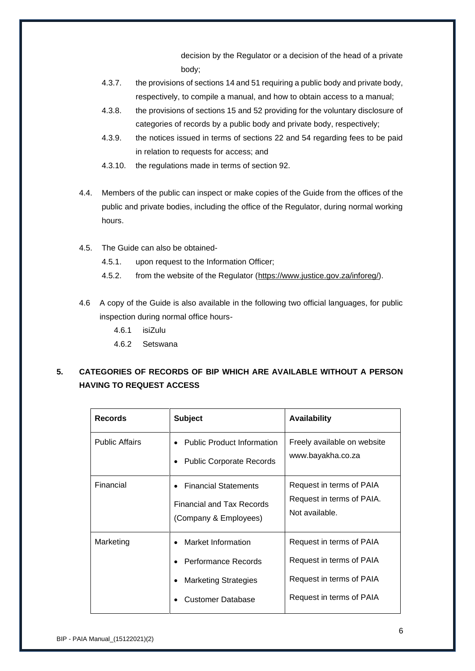decision by the Regulator or a decision of the head of a private body;

- 4.3.7. the provisions of sections 14 and 51 requiring a public body and private body, respectively, to compile a manual, and how to obtain access to a manual;
- 4.3.8. the provisions of sections 15 and 52 providing for the voluntary disclosure of categories of records by a public body and private body, respectively;
- 4.3.9. the notices issued in terms of sections 22 and 54 regarding fees to be paid in relation to requests for access; and
- 4.3.10. the regulations made in terms of section 92.
- 4.4. Members of the public can inspect or make copies of the Guide from the offices of the public and private bodies, including the office of the Regulator, during normal working hours.
- 4.5. The Guide can also be obtained-
	- 4.5.1. upon request to the Information Officer;
	- 4.5.2. from the website of the Regulator [\(https://www.justice.gov.za/inforeg/\)](https://www.justice.gov.za/inforeg/).
- 4.6 A copy of the Guide is also available in the following two official languages, for public inspection during normal office hours-
	- 4.6.1 isiZulu
	- 4.6.2 Setswana

## **5. CATEGORIES OF RECORDS OF BIP WHICH ARE AVAILABLE WITHOUT A PERSON HAVING TO REQUEST ACCESS**

| <b>Records</b>        | <b>Subject</b>                                                                                       | <b>Availability</b>                                                                                          |
|-----------------------|------------------------------------------------------------------------------------------------------|--------------------------------------------------------------------------------------------------------------|
| <b>Public Affairs</b> | <b>Public Product Information</b><br><b>Public Corporate Records</b>                                 | Freely available on website<br>www.bayakha.co.za                                                             |
| Financial             | <b>Financial Statements</b><br><b>Financial and Tax Records</b><br>(Company & Employees)             | Request in terms of PAIA<br>Request in terms of PAIA.<br>Not available.                                      |
| Marketing             | Market Information<br>Performance Records<br><b>Marketing Strategies</b><br><b>Customer Database</b> | Request in terms of PAIA<br>Request in terms of PAIA<br>Request in terms of PAIA<br>Request in terms of PAIA |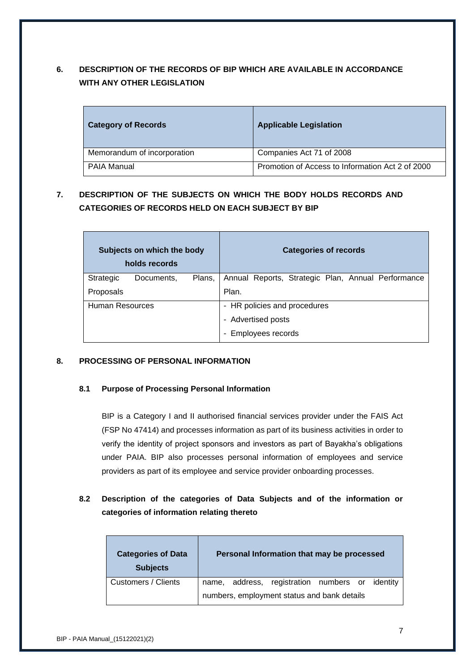# <span id="page-6-0"></span>**6. DESCRIPTION OF THE RECORDS OF BIP WHICH ARE AVAILABLE IN ACCORDANCE WITH ANY OTHER LEGISLATION**

| <b>Category of Records</b>  | <b>Applicable Legislation</b>                    |
|-----------------------------|--------------------------------------------------|
| Memorandum of incorporation | Companies Act 71 of 2008                         |
| <b>PAIA Manual</b>          | Promotion of Access to Information Act 2 of 2000 |

# <span id="page-6-1"></span>**7. DESCRIPTION OF THE SUBJECTS ON WHICH THE BODY HOLDS RECORDS AND CATEGORIES OF RECORDS HELD ON EACH SUBJECT BY BIP**

| Subjects on which the body<br>holds records | <b>Categories of records</b>                       |  |  |  |
|---------------------------------------------|----------------------------------------------------|--|--|--|
| Strategic<br>Plans,<br>Documents,           | Annual Reports, Strategic Plan, Annual Performance |  |  |  |
| Proposals                                   | Plan.                                              |  |  |  |
| Human Resources                             | - HR policies and procedures                       |  |  |  |
|                                             | - Advertised posts                                 |  |  |  |
|                                             | Employees records                                  |  |  |  |

#### <span id="page-6-2"></span>**8. PROCESSING OF PERSONAL INFORMATION**

#### **8.1 Purpose of Processing Personal Information**

BIP is a Category I and II authorised financial services provider under the FAIS Act (FSP No 47414) and processes information as part of its business activities in order to verify the identity of project sponsors and investors as part of Bayakha's obligations under PAIA. BIP also processes personal information of employees and service providers as part of its employee and service provider onboarding processes.

### **8.2 Description of the categories of Data Subjects and of the information or categories of information relating thereto**

| <b>Categories of Data</b><br><b>Subjects</b> |                                             |  | Personal Information that may be processed      |  |  |  |
|----------------------------------------------|---------------------------------------------|--|-------------------------------------------------|--|--|--|
| Customers / Clients                          |                                             |  | name, address, registration numbers or identity |  |  |  |
|                                              | numbers, employment status and bank details |  |                                                 |  |  |  |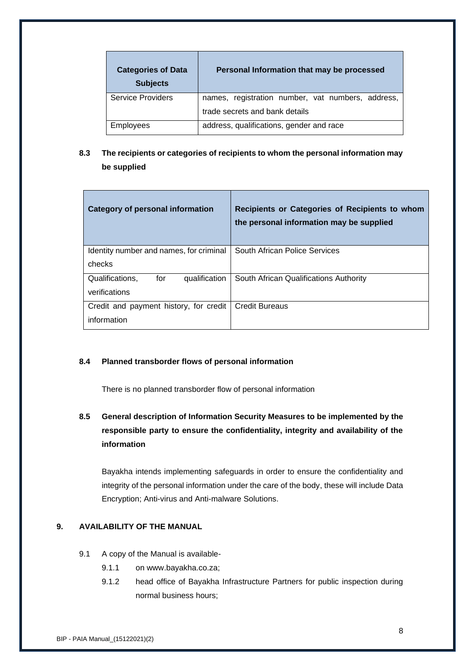| <b>Categories of Data</b><br><b>Subjects</b> | Personal Information that may be processed        |
|----------------------------------------------|---------------------------------------------------|
| <b>Service Providers</b>                     | names, registration number, vat numbers, address, |
|                                              | trade secrets and bank details                    |
| <b>Employees</b>                             | address, qualifications, gender and race          |

### **8.3 The recipients or categories of recipients to whom the personal information may be supplied**

| <b>Category of personal information</b> | Recipients or Categories of Recipients to whom<br>the personal information may be supplied |
|-----------------------------------------|--------------------------------------------------------------------------------------------|
| Identity number and names, for criminal | South African Police Services                                                              |
| checks                                  |                                                                                            |
| Qualifications.<br>for<br>qualification | South African Qualifications Authority                                                     |
| verifications                           |                                                                                            |
| Credit and payment history, for credit  | <b>Credit Bureaus</b>                                                                      |
| information                             |                                                                                            |

#### **8.4 Planned transborder flows of personal information**

There is no planned transborder flow of personal information

# **8.5 General description of Information Security Measures to be implemented by the responsible party to ensure the confidentiality, integrity and availability of the information**

Bayakha intends implementing safeguards in order to ensure the confidentiality and integrity of the personal information under the care of the body, these will include Data Encryption; Anti-virus and Anti-malware Solutions.

#### <span id="page-7-0"></span>**9. AVAILABILITY OF THE MANUAL**

- 9.1 A copy of the Manual is available-
	- 9.1.1 on www.bayakha.co.za;
	- 9.1.2 head office of Bayakha Infrastructure Partners for public inspection during normal business hours;